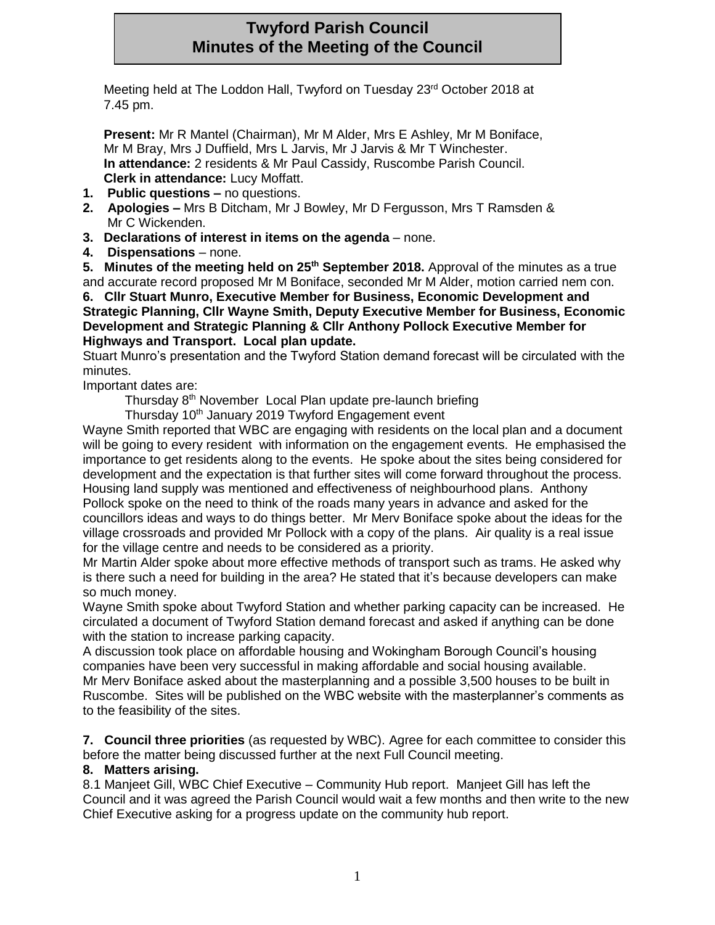# **Twyford Parish Council Minutes of the Meeting of the Council**

Meeting held at The Loddon Hall, Twyford on Tuesday 23rd October 2018 at 7.45 pm.

**Present:** Mr R Mantel (Chairman), Mr M Alder, Mrs E Ashley, Mr M Boniface, Mr M Bray, Mrs J Duffield, Mrs L Jarvis, Mr J Jarvis & Mr T Winchester. **In attendance:** 2 residents & Mr Paul Cassidy, Ruscombe Parish Council. **Clerk in attendance:** Lucy Moffatt.

- **1. Public questions –** no questions.
- **2. Apologies –** Mrs B Ditcham, Mr J Bowley, Mr D Fergusson, Mrs T Ramsden & Mr C Wickenden.
- **3. Declarations of interest in items on the agenda** none.
- **4. Dispensations** none.

**5. Minutes of the meeting held on 25th September 2018.** Approval of the minutes as a true and accurate record proposed Mr M Boniface, seconded Mr M Alder, motion carried nem con.

**6. Cllr Stuart Munro, Executive Member for Business, Economic Development and Strategic Planning, Cllr Wayne Smith, Deputy Executive Member for Business, Economic Development and Strategic Planning & Cllr Anthony Pollock Executive Member for Highways and Transport. Local plan update.**

Stuart Munro's presentation and the Twyford Station demand forecast will be circulated with the minutes.

Important dates are:

Thursday 8th November Local Plan update pre-launch briefing

Thursday 10<sup>th</sup> January 2019 Twyford Engagement event

Wayne Smith reported that WBC are engaging with residents on the local plan and a document will be going to every resident with information on the engagement events. He emphasised the importance to get residents along to the events. He spoke about the sites being considered for development and the expectation is that further sites will come forward throughout the process. Housing land supply was mentioned and effectiveness of neighbourhood plans. Anthony Pollock spoke on the need to think of the roads many years in advance and asked for the councillors ideas and ways to do things better. Mr Merv Boniface spoke about the ideas for the village crossroads and provided Mr Pollock with a copy of the plans. Air quality is a real issue for the village centre and needs to be considered as a priority.

Mr Martin Alder spoke about more effective methods of transport such as trams. He asked why is there such a need for building in the area? He stated that it's because developers can make so much money.

Wayne Smith spoke about Twyford Station and whether parking capacity can be increased. He circulated a document of Twyford Station demand forecast and asked if anything can be done with the station to increase parking capacity.

A discussion took place on affordable housing and Wokingham Borough Council's housing companies have been very successful in making affordable and social housing available. Mr Merv Boniface asked about the masterplanning and a possible 3,500 houses to be built in Ruscombe. Sites will be published on the WBC website with the masterplanner's comments as to the feasibility of the sites.

**7. Council three priorities** (as requested by WBC). Agree for each committee to consider this before the matter being discussed further at the next Full Council meeting.

# **8. Matters arising.**

8.1 Manjeet Gill, WBC Chief Executive – Community Hub report. Manjeet Gill has left the Council and it was agreed the Parish Council would wait a few months and then write to the new Chief Executive asking for a progress update on the community hub report.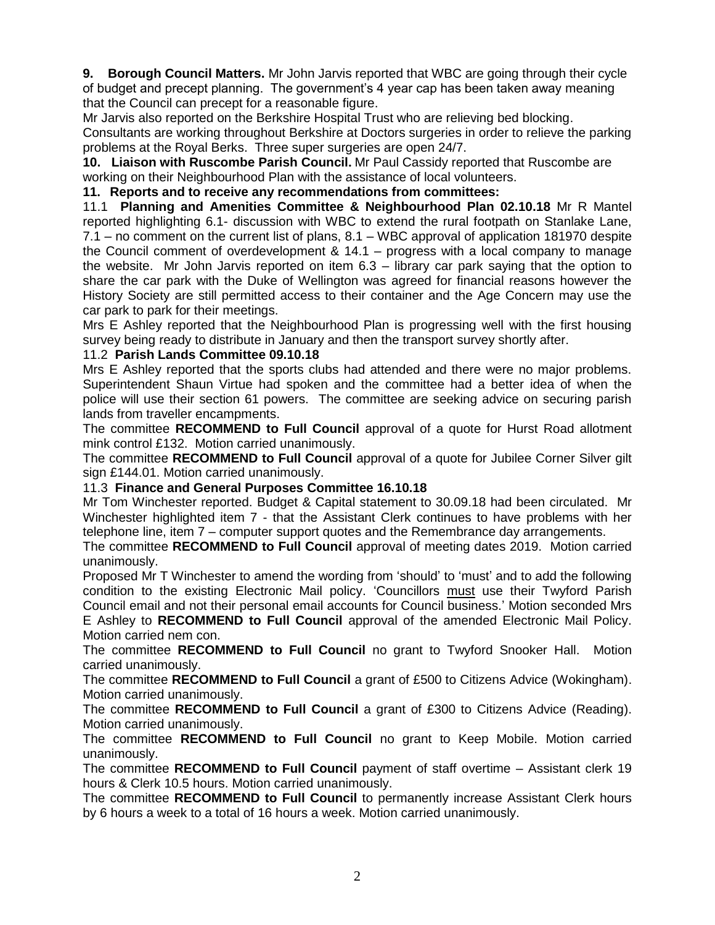**9. Borough Council Matters.** Mr John Jarvis reported that WBC are going through their cycle of budget and precept planning. The government's 4 year cap has been taken away meaning that the Council can precept for a reasonable figure.

Mr Jarvis also reported on the Berkshire Hospital Trust who are relieving bed blocking.

Consultants are working throughout Berkshire at Doctors surgeries in order to relieve the parking problems at the Royal Berks. Three super surgeries are open 24/7.

**10. Liaison with Ruscombe Parish Council.** Mr Paul Cassidy reported that Ruscombe are working on their Neighbourhood Plan with the assistance of local volunteers.

**11. Reports and to receive any recommendations from committees:**

11.1 **Planning and Amenities Committee & Neighbourhood Plan 02.10.18** Mr R Mantel reported highlighting 6.1- discussion with WBC to extend the rural footpath on Stanlake Lane, 7.1 – no comment on the current list of plans, 8.1 – WBC approval of application 181970 despite the Council comment of overdevelopment & 14.1 – progress with a local company to manage the website. Mr John Jarvis reported on item 6.3 – library car park saying that the option to share the car park with the Duke of Wellington was agreed for financial reasons however the History Society are still permitted access to their container and the Age Concern may use the car park to park for their meetings.

Mrs E Ashley reported that the Neighbourhood Plan is progressing well with the first housing survey being ready to distribute in January and then the transport survey shortly after.

#### 11.2 **Parish Lands Committee 09.10.18**

Mrs E Ashley reported that the sports clubs had attended and there were no major problems. Superintendent Shaun Virtue had spoken and the committee had a better idea of when the police will use their section 61 powers. The committee are seeking advice on securing parish lands from traveller encampments.

The committee **RECOMMEND to Full Council** approval of a quote for Hurst Road allotment mink control £132. Motion carried unanimously.

The committee **RECOMMEND to Full Council** approval of a quote for Jubilee Corner Silver gilt sign £144.01. Motion carried unanimously.

## 11.3 **Finance and General Purposes Committee 16.10.18**

Mr Tom Winchester reported. Budget & Capital statement to 30.09.18 had been circulated. Mr Winchester highlighted item 7 - that the Assistant Clerk continues to have problems with her telephone line, item 7 – computer support quotes and the Remembrance day arrangements.

The committee **RECOMMEND to Full Council** approval of meeting dates 2019. Motion carried unanimously.

Proposed Mr T Winchester to amend the wording from 'should' to 'must' and to add the following condition to the existing Electronic Mail policy. 'Councillors must use their Twyford Parish Council email and not their personal email accounts for Council business.' Motion seconded Mrs E Ashley to **RECOMMEND to Full Council** approval of the amended Electronic Mail Policy. Motion carried nem con.

The committee **RECOMMEND to Full Council** no grant to Twyford Snooker Hall. Motion carried unanimously.

The committee **RECOMMEND to Full Council** a grant of £500 to Citizens Advice (Wokingham). Motion carried unanimously.

The committee **RECOMMEND to Full Council** a grant of £300 to Citizens Advice (Reading). Motion carried unanimously.

The committee **RECOMMEND to Full Council** no grant to Keep Mobile. Motion carried unanimously.

The committee **RECOMMEND to Full Council** payment of staff overtime – Assistant clerk 19 hours & Clerk 10.5 hours. Motion carried unanimously.

The committee **RECOMMEND to Full Council** to permanently increase Assistant Clerk hours by 6 hours a week to a total of 16 hours a week. Motion carried unanimously.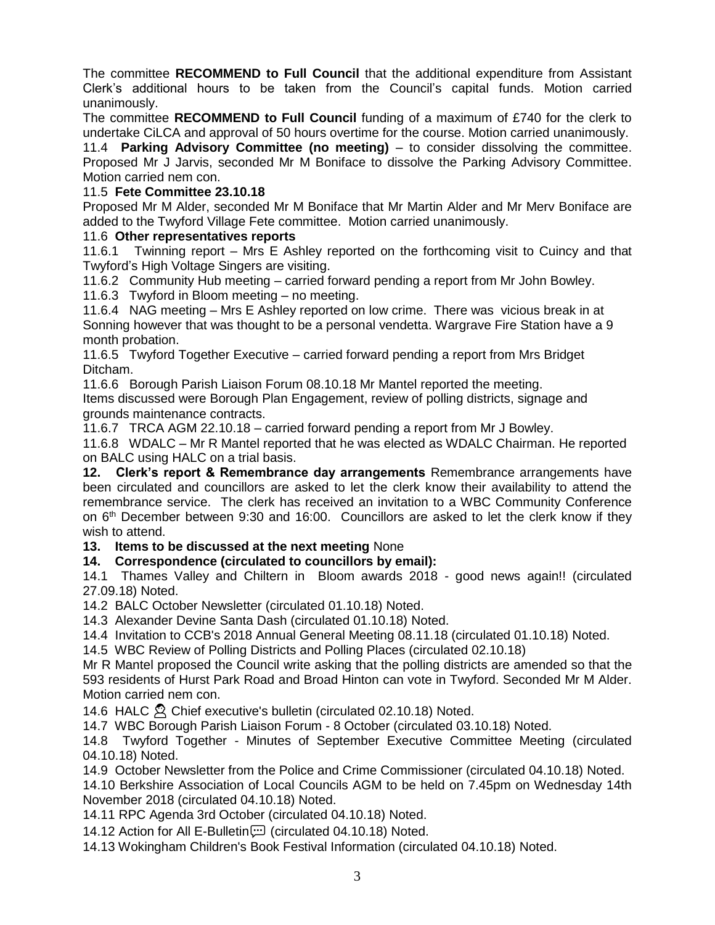The committee **RECOMMEND to Full Council** that the additional expenditure from Assistant Clerk's additional hours to be taken from the Council's capital funds. Motion carried unanimously.

The committee **RECOMMEND to Full Council** funding of a maximum of £740 for the clerk to undertake CiLCA and approval of 50 hours overtime for the course. Motion carried unanimously.

11.4 **Parking Advisory Committee (no meeting)** – to consider dissolving the committee. Proposed Mr J Jarvis, seconded Mr M Boniface to dissolve the Parking Advisory Committee. Motion carried nem con.

### 11.5 **Fete Committee 23.10.18**

Proposed Mr M Alder, seconded Mr M Boniface that Mr Martin Alder and Mr Merv Boniface are added to the Twyford Village Fete committee. Motion carried unanimously.

#### 11.6 **Other representatives reports**

11.6.1 Twinning report – Mrs E Ashley reported on the forthcoming visit to Cuincy and that Twyford's High Voltage Singers are visiting.

11.6.2 Community Hub meeting – carried forward pending a report from Mr John Bowley.

11.6.3 Twyford in Bloom meeting – no meeting.

11.6.4 NAG meeting – Mrs E Ashley reported on low crime. There was vicious break in at Sonning however that was thought to be a personal vendetta. Wargrave Fire Station have a 9 month probation.

11.6.5 Twyford Together Executive – carried forward pending a report from Mrs Bridget Ditcham.

11.6.6 Borough Parish Liaison Forum 08.10.18 Mr Mantel reported the meeting.

Items discussed were Borough Plan Engagement, review of polling districts, signage and grounds maintenance contracts.

11.6.7 TRCA AGM 22.10.18 – carried forward pending a report from Mr J Bowley.

11.6.8 WDALC – Mr R Mantel reported that he was elected as WDALC Chairman. He reported on BALC using HALC on a trial basis.

**12. Clerk's report & Remembrance day arrangements** Remembrance arrangements have been circulated and councillors are asked to let the clerk know their availability to attend the remembrance service. The clerk has received an invitation to a WBC Community Conference on 6th December between 9:30 and 16:00. Councillors are asked to let the clerk know if they wish to attend.

**13. Items to be discussed at the next meeting** None

### **14. Correspondence (circulated to councillors by email):**

14.1 Thames Valley and Chiltern in Bloom awards 2018 - good news again!! (circulated 27.09.18) Noted.

14.2 BALC October Newsletter (circulated 01.10.18) Noted.

14.3 Alexander Devine Santa Dash (circulated 01.10.18) Noted.

14.4 Invitation to CCB's 2018 Annual General Meeting 08.11.18 (circulated 01.10.18) Noted.

14.5 WBC Review of Polling Districts and Polling Places (circulated 02.10.18)

Mr R Mantel proposed the Council write asking that the polling districts are amended so that the 593 residents of Hurst Park Road and Broad Hinton can vote in Twyford. Seconded Mr M Alder. Motion carried nem con.

14.6 HALC <sup>2</sup> Chief executive's bulletin (circulated 02.10.18) Noted.

14.7 WBC Borough Parish Liaison Forum - 8 October (circulated 03.10.18) Noted.

14.8 Twyford Together - Minutes of September Executive Committee Meeting (circulated 04.10.18) Noted.

14.9 October Newsletter from the Police and Crime Commissioner (circulated 04.10.18) Noted.

14.10 Berkshire Association of Local Councils AGM to be held on 7.45pm on Wednesday 14th November 2018 (circulated 04.10.18) Noted.

14.11 RPC Agenda 3rd October (circulated 04.10.18) Noted.

14.12 Action for All E-Bulletin (:: Circulated 04.10.18) Noted.

14.13 Wokingham Children's Book Festival Information (circulated 04.10.18) Noted.